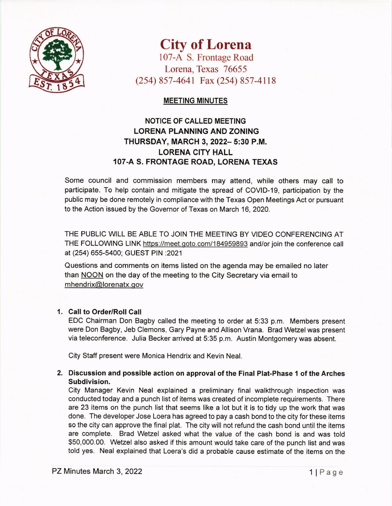

# City of Lorena

107-A S. Frontage Road Lorena, Texas 76655 (254) 857-4641 Fax (254) 857-4118

#### MEETING MINUTES

## NOTICE OF CALLED MEETING LORENA PLANNING AND ZONING THURSDAY, MARCH 3,2022- 5:30 P.M. LORENA CITY HALL 107-A S. FRONTAGE ROAD, LORENA TEXAS

Some council and commission members may attend, while others may call to participate. To help contain and mitigate the spread of COVID-19, participation by the public may be done remotely in compliance with the Texas Open Meetings Act or pursuant to the Action issued by the Governor of Texas on March 16, 2020.

THE PUBLIC W|LL BE ABLE TO JOIN THE MEETING BY VIDEO CONFERENCING AT THE FOLLOWNG LINK https://meet.qoto.com/184959893 and/or join the conference call at (254) 655-5400; GUEST PIN :2021

Questions and comments on items listed on the agenda may be emailed no later than NOON on the day of the meeting to the City Secretary via email to mhendrix@lorenatx.gov

### 1 Call to Order/Roll Call

EDC Chairman Don Bagby called the meeting to order at 5:33 p.m. Members present were Don Bagby, Jeb Clemons, Gary Payne and Allison Vrana. Brad Wetzel was present via teleconference. Julia Becker arrived at 5:35 p.m. Austin Montgomery was absent.

City Staff present were Monica Hendrix and Kevin Neal.

#### 2. Discussion and possible action on approval of the Final Plat-Phase 1 of the Arches Subdivision.

City Manager Kevin Neal explained a preliminary final walkthrough inspection was conducted today and a punch list of items was created of incomplete requirements. There are 23 items on the punch list that seems like a lot but it is to tidy up the work that was done. The developer Jose Loera has agreed to pay a cash bond to the city for these items so the city can approve the final plat. The city will not refund the cash bond until the items are complete. Brad Wetzel asked what the value of the cash bond is and was told \$50,000.00. Wetzel also asked if this amount would take care of the punch list and was told yes. Neal explained that Loera's did a probable cause estimate of the items on the